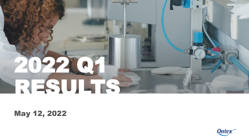# 2022 Q1 RESULTS

#### May 12, 2022

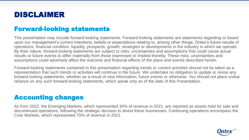#### DISCLAIMER

#### Forward-looking statements

This presentation may include forward-looking statements. Forward-looking statements are statements regarding or based upon our management's current intentions, beliefs or expectations relating to, among other things, Ontex's future results of operations, financial condition, liquidity, prospects, growth, strategies or developments in the industry in which we operate. By their nature, forward-looking statements are subject to risks, uncertainties and assumptions that could cause actual results or future events to differ materially from those expressed or implied thereby. These risks, uncertainties and assumptions could adversely affect the outcome and financial effects of the plans and events described herein.

Forward-looking statements contained in this presentation regarding trends or current activities should not be taken as a representation that such trends or activities will continue in the future. We undertake no obligation to update or revise any forward-looking statements, whether as a result of new information, future events or otherwise. You should not place undue reliance on any such forward-looking statements, which speak only as of the date of this Presentation.

#### Accounting changes

As from 2022, the Emerging Markets, which represented 30% of revenue in 2021, are reported as assets held for sale and discontinued operations, following the strategic decision to divest these businesses. Continuing operations encompass the Core Markets, which represented 70% of revenue in 2021.

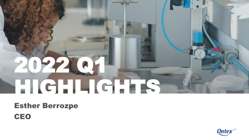# 2022 Q1 HIGHLIGHTS

## Esther Berrozpe CEO

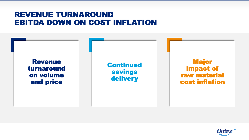#### REVENUE TURNAROUND EBITDA DOWN ON COST INFLATION

Revenue turnaround on volume and price

Continued savings delivery

Major impact of raw material cost inflation

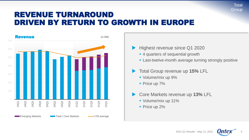#### REVENUE TURNAROUND DRIVEN BY RETURN TO GROWTH IN EUROPE



- Highest revenue since Q1 2020
	- 4 quarters of sequential growth
	- **Example 1** Last-twelve-month average turning strongly positive
- Total Group revenue up **15%** LFL
	- Volume/mix up 9%
	- **Price up 7%**
- Core Markets revenue up **13%** LFL
	- Volume/mix up 11%
	- **Price up 2%**

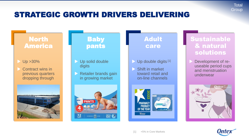#### STRATEGIC GROWTH DRIVERS DELIVERING

#### North America

- Up >30%
- Contract wins in previous quarters dropping through



#### Baby pants

- Up solid double digits
- Retailer brands gain in growing market



#### Adult care

- Up double digits [1]
- Shift in market toward retail and on-line channels



#### Sustainable & natural solutions

**Total Group** 

 Development of reuseable period cups and menstruation underwear



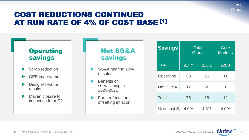#### **Total Group**

#### COST REDUCTIONS CONTINUED AT RUN RATE OF 4% OF COST BASE [1]



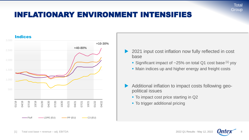#### INFLATIONARY ENVIRONMENT INTENSIFIES



- 2021 input cost inflation now fully reflected in cost base
	- **Example 1** Significant impact of  $\sim$  25% on total Q1 cost base <sup>[1]</sup> yoy
	- Main indices up and higher energy and freight costs
- Additional inflation to impact costs following geopolitical issues
	- To impact cost price starting in Q2
	- To trigger additional pricing

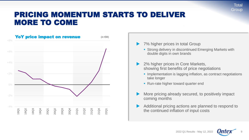#### PRICING MOMENTUM STARTS TO DELIVER MORE TO COME





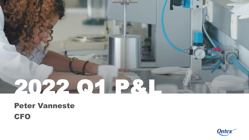# 2022 Q1 P&L

### Peter Vanneste **CFO**

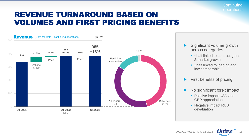**Continuing** operations

#### REVENUE TURNAROUND BASED ON VOLUMES AND FIRST PRICING BENEFITS



- Significant volume growth across categories
	- ~ half linked to contract gains & market growth
	- ~ half linked to loading and low comparable
- First benefits of pricing
- No significant forex impact
	- **Positive impact USD and** GBP appreciation
	- Negative impact RUB devaluation



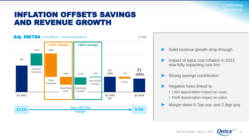**Continuing** operations

#### INFLATION OFFSETS SAVINGS AND REVENUE GROWTH



- Solid revenue growth drop-through
- Impact of input cost inflation in 2021 now fully impacting cost line
- Strong savings contribution
- Negative forex linked to
	- **USD appreciation impact on costs**
	- RUB depreciation impact on sales
- Margin down 6.7pp yoy, and 2.9pp qoq

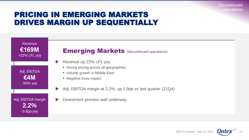#### PRICING IN EMERGING MARKETS DRIVES MARGIN UP SEQUENTIALLY



-3.8pp yoy

#### **Emerging Markets (discontinued operations)**

- Revenue up  $22\%$  LFL yoy
	- **EXTERN Strong pricing across all geographies**
	- Volume growth in Middle East
	- Negative forex impact
	- Adj. EBITDA margin at 2.2%, up 1.9pp vs last quarter (21Q4)
	- Divestment process well underway



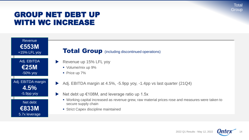#### GROUP NET DEBT UP WITH WC INCREASE



#### **Total Group** (including discontinued operations)

- Revenue up 15% LFL yoy
	- Volume/mix up 9%
	- Price up 7%
- Adj. EBITDA margin at  $4.5\%$ ,  $-5.9$ pp yoy,  $-1.4$ pp vs last quarter (21Q4)
- Net debt up  $\epsilon$ 108M, and leverage ratio up 1.5x
	- Working capital increased as revenue grew, raw material prices rose and measures were taken to secure supply chain
	- Strict Capex discipline maintained

2022 Q1 Results - May 12, 2022

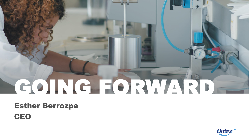## GOING FORWARD

## Esther Berrozpe **CEO**

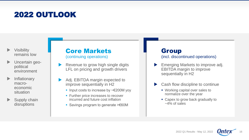- incurred and future cost inflation
- 

#### **Group** (incl. discontinued operations)

- **Emerging Markets to improve adj.** EBITDA margin to improve sequentially in H2
	- Cash flow discipline to continue
		- Working capital over sales to normalize over the year
		- Capex to grow back gradually to  $~14\%$  of sales



#### 2022 OUTLOOK

- **Visibility** remains low
- Uncertain geopolitical environment
- **Inflationary** macroeconomic situation
- Supply chain disruptions

Core Markets (continuing operations)

- Revenue to grow high single digits LFL on pricing and growth drivers
- Adj. EBITDA margin expected to improve sequentially in H2
	- Input costs to increase by ~€200M yoy
	- **EUT Further price increases to recover**
	- Savings program to generate > €60M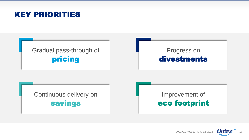#### KEY PRIORITIES

#### Gradual pass-through of pricing

#### Progress on divestments

Continuous delivery on savings

#### Improvement of eco footprint

2022 Q1 Results - May 12, 2022